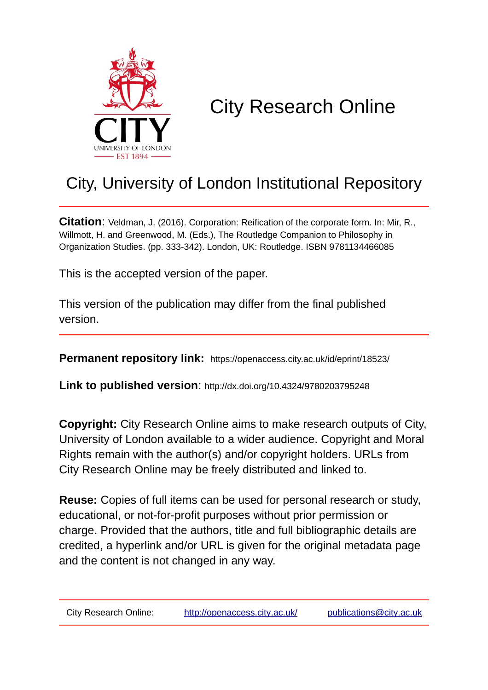

# City Research Online

## City, University of London Institutional Repository

**Citation**: Veldman, J. (2016). Corporation: Reification of the corporate form. In: Mir, R., Willmott, H. and Greenwood, M. (Eds.), The Routledge Companion to Philosophy in Organization Studies. (pp. 333-342). London, UK: Routledge. ISBN 9781134466085

This is the accepted version of the paper.

This version of the publication may differ from the final published version.

**Permanent repository link:** https://openaccess.city.ac.uk/id/eprint/18523/

**Link to published version**: http://dx.doi.org/10.4324/9780203795248

**Copyright:** City Research Online aims to make research outputs of City, University of London available to a wider audience. Copyright and Moral Rights remain with the author(s) and/or copyright holders. URLs from City Research Online may be freely distributed and linked to.

**Reuse:** Copies of full items can be used for personal research or study, educational, or not-for-profit purposes without prior permission or charge. Provided that the authors, title and full bibliographic details are credited, a hyperlink and/or URL is given for the original metadata page and the content is not changed in any way.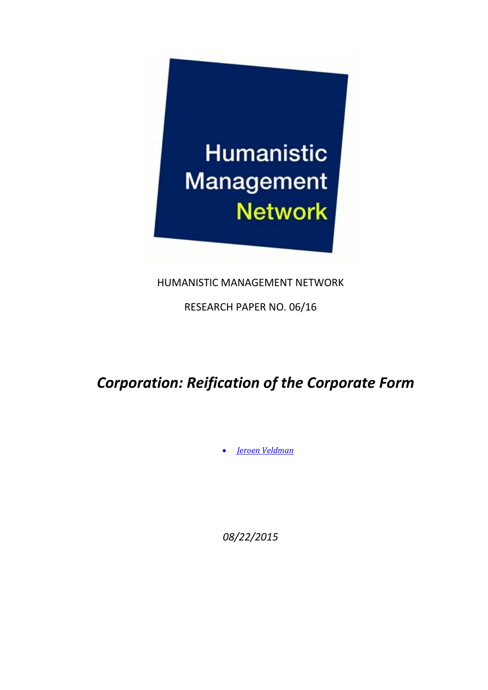

## HUMANISTIC MANAGEMENT NETWORK

RESEARCH PAPER NO. 06/16

*Corporation: Reification of the Corporate Form*

*Jeroen Veldman*

*08/22/2015*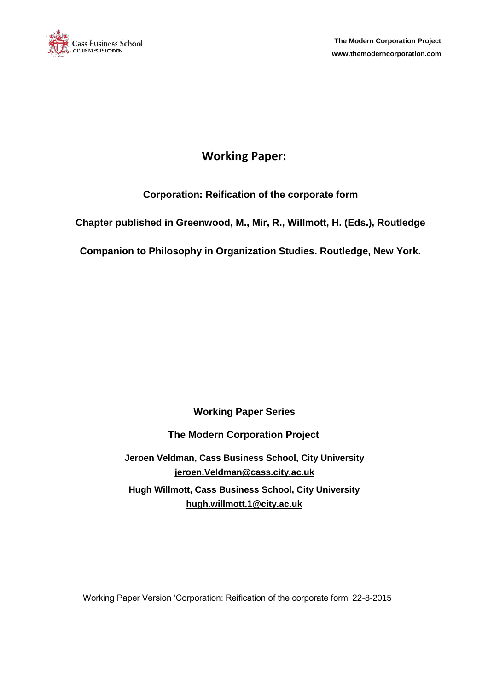

## **Working Paper:**

### **Corporation: Reification of the corporate form**

**Chapter published in Greenwood, M., Mir, R., Willmott, H. (Eds.), Routledge** 

**Companion to Philosophy in Organization Studies. Routledge, New York.**

**Working Paper Series**

**The Modern Corporation Project**

**Jeroen Veldman, Cass Business School, City University jeroen.Veldman@cass.city.ac.uk Hugh Willmott, Cass Business School, City University hugh.willmott.1@city.ac.uk**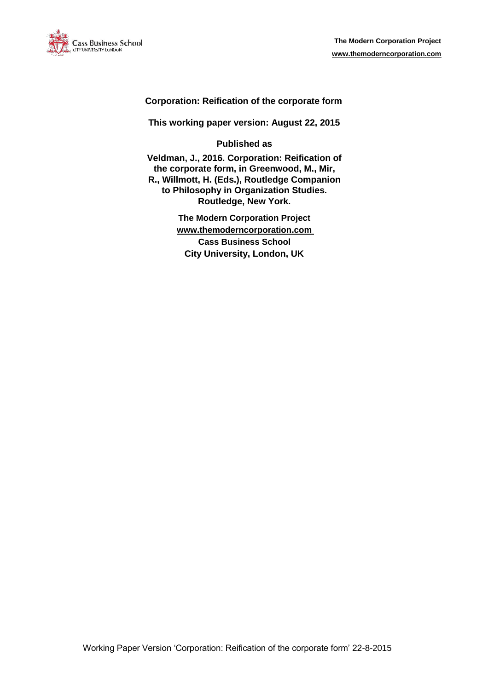

**Corporation: Reification of the corporate form**

**This working paper version: August 22, 2015**

**Published as**

**Veldman, J., 2016. Corporation: Reification of the corporate form, in Greenwood, M., Mir, R., Willmott, H. (Eds.), Routledge Companion to Philosophy in Organization Studies. Routledge, New York.**

> **The Modern Corporation Project www.themoderncorporation.com Cass Business School City University, London, UK**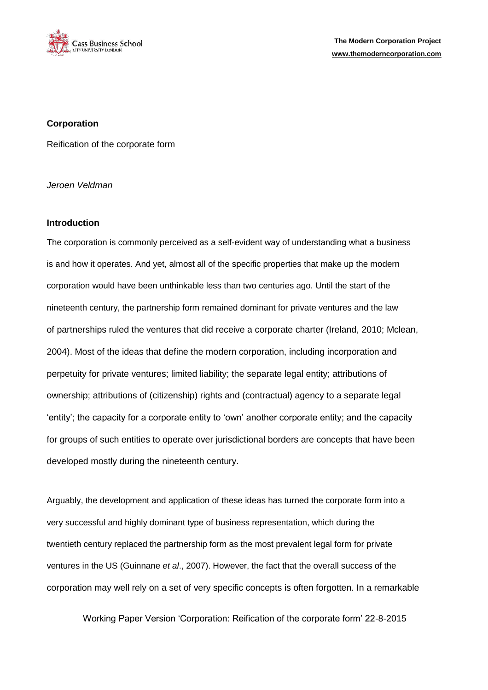

#### **Corporation**

Reification of the corporate form

#### *Jeroen Veldman*

#### **Introduction**

The corporation is commonly perceived as a self-evident way of understanding what a business is and how it operates. And yet, almost all of the specific properties that make up the modern corporation would have been unthinkable less than two centuries ago. Until the start of the nineteenth century, the partnership form remained dominant for private ventures and the law of partnerships ruled the ventures that did receive a corporate charter (Ireland, 2010; Mclean, 2004). Most of the ideas that define the modern corporation, including incorporation and perpetuity for private ventures; limited liability; the separate legal entity; attributions of ownership; attributions of (citizenship) rights and (contractual) agency to a separate legal 'entity'; the capacity for a corporate entity to 'own' another corporate entity; and the capacity for groups of such entities to operate over jurisdictional borders are concepts that have been developed mostly during the nineteenth century.

Arguably, the development and application of these ideas has turned the corporate form into a very successful and highly dominant type of business representation, which during the twentieth century replaced the partnership form as the most prevalent legal form for private ventures in the US (Guinnane *et al*., 2007). However, the fact that the overall success of the corporation may well rely on a set of very specific concepts is often forgotten. In a remarkable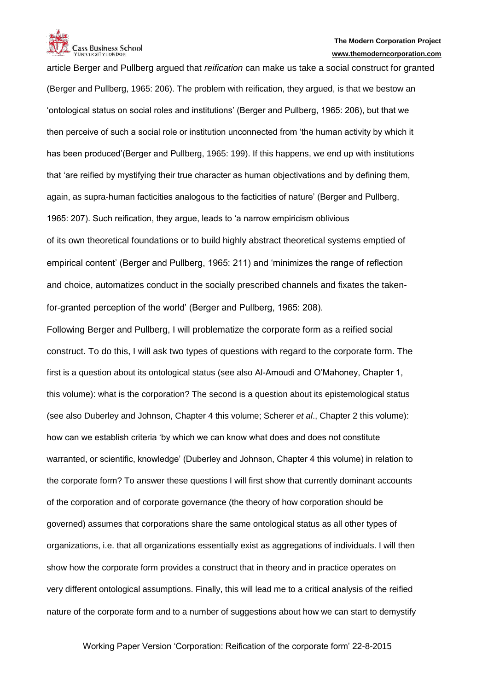

article Berger and Pullberg argued that *reification* can make us take a social construct for granted (Berger and Pullberg, 1965: 206). The problem with reification, they argued, is that we bestow an 'ontological status on social roles and institutions' (Berger and Pullberg, 1965: 206), but that we then perceive of such a social role or institution unconnected from 'the human activity by which it has been produced'(Berger and Pullberg, 1965: 199). If this happens, we end up with institutions that 'are reified by mystifying their true character as human objectivations and by defining them, again, as supra-human facticities analogous to the facticities of nature' (Berger and Pullberg, 1965: 207). Such reification, they argue, leads to 'a narrow empiricism oblivious of its own theoretical foundations or to build highly abstract theoretical systems emptied of empirical content' (Berger and Pullberg, 1965: 211) and 'minimizes the range of reflection and choice, automatizes conduct in the socially prescribed channels and fixates the takenfor-granted perception of the world' (Berger and Pullberg, 1965: 208).

Following Berger and Pullberg, I will problematize the corporate form as a reified social construct. To do this, I will ask two types of questions with regard to the corporate form. The first is a question about its ontological status (see also Al-Amoudi and O'Mahoney, Chapter 1, this volume): what is the corporation? The second is a question about its epistemological status (see also Duberley and Johnson, Chapter 4 this volume; Scherer *et al*., Chapter 2 this volume): how can we establish criteria 'by which we can know what does and does not constitute warranted, or scientific, knowledge' (Duberley and Johnson, Chapter 4 this volume) in relation to the corporate form? To answer these questions I will first show that currently dominant accounts of the corporation and of corporate governance (the theory of how corporation should be governed) assumes that corporations share the same ontological status as all other types of organizations, i.e. that all organizations essentially exist as aggregations of individuals. I will then show how the corporate form provides a construct that in theory and in practice operates on very different ontological assumptions. Finally, this will lead me to a critical analysis of the reified nature of the corporate form and to a number of suggestions about how we can start to demystify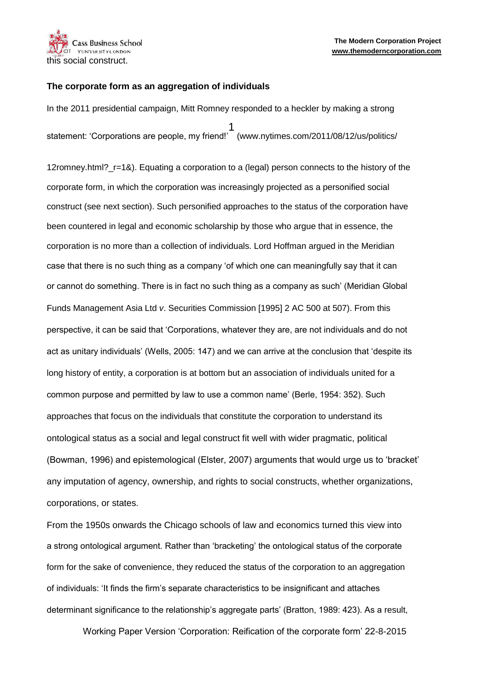

#### **The corporate form as an aggregation of individuals**

In the 2011 presidential campaign, Mitt Romney responded to a heckler by making a strong statement: 'Corporations are people, my friend!' (www.nytimes.com/2011/08/12/us/politics/ 1

12romney.html? r=1&). Equating a corporation to a (legal) person connects to the history of the corporate form, in which the corporation was increasingly projected as a personified social construct (see next section). Such personified approaches to the status of the corporation have been countered in legal and economic scholarship by those who argue that in essence, the corporation is no more than a collection of individuals. Lord Hoffman argued in the Meridian case that there is no such thing as a company 'of which one can meaningfully say that it can or cannot do something. There is in fact no such thing as a company as such' (Meridian Global Funds Management Asia Ltd *v*. Securities Commission [1995] 2 AC 500 at 507). From this perspective, it can be said that 'Corporations, whatever they are, are not individuals and do not act as unitary individuals' (Wells, 2005: 147) and we can arrive at the conclusion that 'despite its long history of entity, a corporation is at bottom but an association of individuals united for a common purpose and permitted by law to use a common name' (Berle, 1954: 352). Such approaches that focus on the individuals that constitute the corporation to understand its ontological status as a social and legal construct fit well with wider pragmatic, political (Bowman, 1996) and epistemological (Elster, 2007) arguments that would urge us to 'bracket' any imputation of agency, ownership, and rights to social constructs, whether organizations, corporations, or states.

From the 1950s onwards the Chicago schools of law and economics turned this view into a strong ontological argument. Rather than 'bracketing' the ontological status of the corporate form for the sake of convenience, they reduced the status of the corporation to an aggregation of individuals: 'It finds the firm's separate characteristics to be insignificant and attaches determinant significance to the relationship's aggregate parts' (Bratton, 1989: 423). As a result,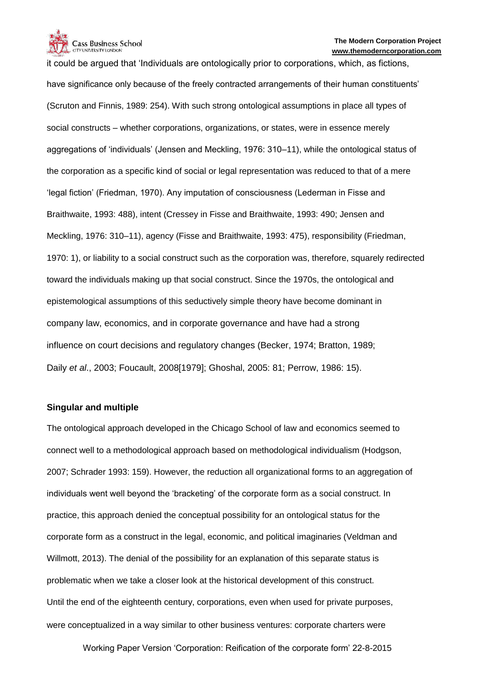

it could be argued that 'Individuals are ontologically prior to corporations, which, as fictions, have significance only because of the freely contracted arrangements of their human constituents' (Scruton and Finnis, 1989: 254). With such strong ontological assumptions in place all types of social constructs – whether corporations, organizations, or states, were in essence merely aggregations of 'individuals' (Jensen and Meckling, 1976: 310–11), while the ontological status of the corporation as a specific kind of social or legal representation was reduced to that of a mere 'legal fiction' (Friedman, 1970). Any imputation of consciousness (Lederman in Fisse and Braithwaite, 1993: 488), intent (Cressey in Fisse and Braithwaite, 1993: 490; Jensen and Meckling, 1976: 310–11), agency (Fisse and Braithwaite, 1993: 475), responsibility (Friedman, 1970: 1), or liability to a social construct such as the corporation was, therefore, squarely redirected toward the individuals making up that social construct. Since the 1970s, the ontological and epistemological assumptions of this seductively simple theory have become dominant in company law, economics, and in corporate governance and have had a strong influence on court decisions and regulatory changes (Becker, 1974; Bratton, 1989; Daily *et al*., 2003; Foucault, 2008[1979]; Ghoshal, 2005: 81; Perrow, 1986: 15).

#### **Singular and multiple**

The ontological approach developed in the Chicago School of law and economics seemed to connect well to a methodological approach based on methodological individualism (Hodgson, 2007; Schrader 1993: 159). However, the reduction all organizational forms to an aggregation of individuals went well beyond the 'bracketing' of the corporate form as a social construct. In practice, this approach denied the conceptual possibility for an ontological status for the corporate form as a construct in the legal, economic, and political imaginaries (Veldman and Willmott, 2013). The denial of the possibility for an explanation of this separate status is problematic when we take a closer look at the historical development of this construct. Until the end of the eighteenth century, corporations, even when used for private purposes, were conceptualized in a way similar to other business ventures: corporate charters were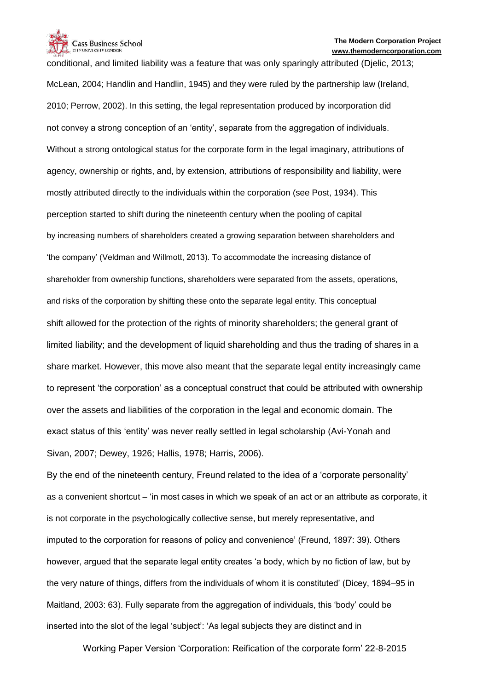

conditional, and limited liability was a feature that was only sparingly attributed (Djelic, 2013; McLean, 2004; Handlin and Handlin, 1945) and they were ruled by the partnership law (Ireland, 2010; Perrow, 2002). In this setting, the legal representation produced by incorporation did not convey a strong conception of an 'entity', separate from the aggregation of individuals. Without a strong ontological status for the corporate form in the legal imaginary, attributions of agency, ownership or rights, and, by extension, attributions of responsibility and liability, were mostly attributed directly to the individuals within the corporation (see Post, 1934). This perception started to shift during the nineteenth century when the pooling of capital by increasing numbers of shareholders created a growing separation between shareholders and 'the company' (Veldman and Willmott, 2013). To accommodate the increasing distance of shareholder from ownership functions, shareholders were separated from the assets, operations, and risks of the corporation by shifting these onto the separate legal entity. This conceptual shift allowed for the protection of the rights of minority shareholders; the general grant of limited liability; and the development of liquid shareholding and thus the trading of shares in a share market. However, this move also meant that the separate legal entity increasingly came to represent 'the corporation' as a conceptual construct that could be attributed with ownership over the assets and liabilities of the corporation in the legal and economic domain. The exact status of this 'entity' was never really settled in legal scholarship (Avi-Yonah and Sivan, 2007; Dewey, 1926; Hallis, 1978; Harris, 2006).

By the end of the nineteenth century, Freund related to the idea of a 'corporate personality' as a convenient shortcut – 'in most cases in which we speak of an act or an attribute as corporate, it is not corporate in the psychologically collective sense, but merely representative, and imputed to the corporation for reasons of policy and convenience' (Freund, 1897: 39). Others however, argued that the separate legal entity creates 'a body, which by no fiction of law, but by the very nature of things, differs from the individuals of whom it is constituted' (Dicey, 1894–95 in Maitland, 2003: 63). Fully separate from the aggregation of individuals, this 'body' could be inserted into the slot of the legal 'subject': 'As legal subjects they are distinct and in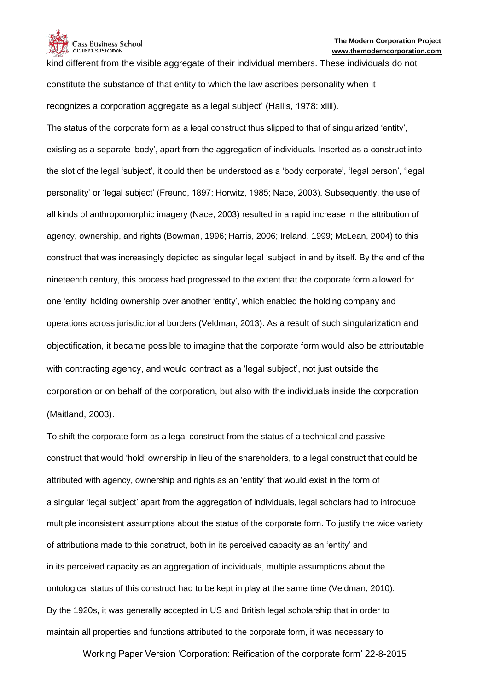

kind different from the visible aggregate of their individual members. These individuals do not constitute the substance of that entity to which the law ascribes personality when it recognizes a corporation aggregate as a legal subject' (Hallis, 1978: xliii).

The status of the corporate form as a legal construct thus slipped to that of singularized 'entity', existing as a separate 'body', apart from the aggregation of individuals. Inserted as a construct into the slot of the legal 'subject', it could then be understood as a 'body corporate', 'legal person', 'legal personality' or 'legal subject' (Freund, 1897; Horwitz, 1985; Nace, 2003). Subsequently, the use of all kinds of anthropomorphic imagery (Nace, 2003) resulted in a rapid increase in the attribution of agency, ownership, and rights (Bowman, 1996; Harris, 2006; Ireland, 1999; McLean, 2004) to this construct that was increasingly depicted as singular legal 'subject' in and by itself. By the end of the nineteenth century, this process had progressed to the extent that the corporate form allowed for one 'entity' holding ownership over another 'entity', which enabled the holding company and operations across jurisdictional borders (Veldman, 2013). As a result of such singularization and objectification, it became possible to imagine that the corporate form would also be attributable with contracting agency, and would contract as a 'legal subject', not just outside the corporation or on behalf of the corporation, but also with the individuals inside the corporation (Maitland, 2003).

To shift the corporate form as a legal construct from the status of a technical and passive construct that would 'hold' ownership in lieu of the shareholders, to a legal construct that could be attributed with agency, ownership and rights as an 'entity' that would exist in the form of a singular 'legal subject' apart from the aggregation of individuals, legal scholars had to introduce multiple inconsistent assumptions about the status of the corporate form. To justify the wide variety of attributions made to this construct, both in its perceived capacity as an 'entity' and in its perceived capacity as an aggregation of individuals, multiple assumptions about the ontological status of this construct had to be kept in play at the same time (Veldman, 2010). By the 1920s, it was generally accepted in US and British legal scholarship that in order to maintain all properties and functions attributed to the corporate form, it was necessary to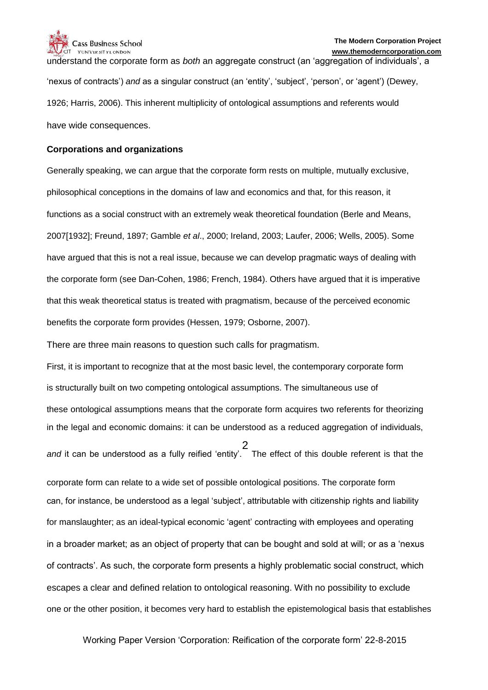

understand the corporate form as *both* an aggregate construct (an 'aggregation of individuals', a 'nexus of contracts') *and* as a singular construct (an 'entity', 'subject', 'person', or 'agent') (Dewey, 1926; Harris, 2006). This inherent multiplicity of ontological assumptions and referents would have wide consequences.

#### **Corporations and organizations**

Generally speaking, we can argue that the corporate form rests on multiple, mutually exclusive, philosophical conceptions in the domains of law and economics and that, for this reason, it functions as a social construct with an extremely weak theoretical foundation (Berle and Means, 2007[1932]; Freund, 1897; Gamble *et al*., 2000; Ireland, 2003; Laufer, 2006; Wells, 2005). Some have argued that this is not a real issue, because we can develop pragmatic ways of dealing with the corporate form (see Dan-Cohen, 1986; French, 1984). Others have argued that it is imperative that this weak theoretical status is treated with pragmatism, because of the perceived economic benefits the corporate form provides (Hessen, 1979; Osborne, 2007).

There are three main reasons to question such calls for pragmatism.

*and* it can be understood as a fully reified 'entity'.

First, it is important to recognize that at the most basic level, the contemporary corporate form is structurally built on two competing ontological assumptions. The simultaneous use of these ontological assumptions means that the corporate form acquires two referents for theorizing in the legal and economic domains: it can be understood as a reduced aggregation of individuals, 2

The effect of this double referent is that the

corporate form can relate to a wide set of possible ontological positions. The corporate form can, for instance, be understood as a legal 'subject', attributable with citizenship rights and liability for manslaughter; as an ideal-typical economic 'agent' contracting with employees and operating in a broader market; as an object of property that can be bought and sold at will; or as a 'nexus of contracts'. As such, the corporate form presents a highly problematic social construct, which escapes a clear and defined relation to ontological reasoning. With no possibility to exclude one or the other position, it becomes very hard to establish the epistemological basis that establishes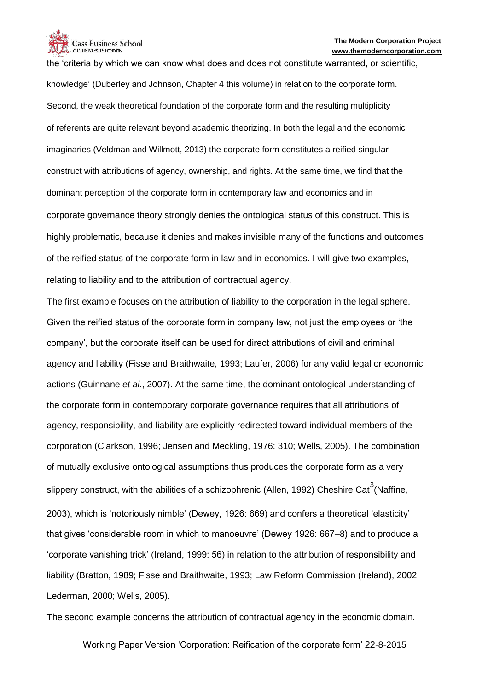

the 'criteria by which we can know what does and does not constitute warranted, or scientific, knowledge' (Duberley and Johnson, Chapter 4 this volume) in relation to the corporate form. Second, the weak theoretical foundation of the corporate form and the resulting multiplicity of referents are quite relevant beyond academic theorizing. In both the legal and the economic imaginaries (Veldman and Willmott, 2013) the corporate form constitutes a reified singular construct with attributions of agency, ownership, and rights. At the same time, we find that the dominant perception of the corporate form in contemporary law and economics and in corporate governance theory strongly denies the ontological status of this construct. This is highly problematic, because it denies and makes invisible many of the functions and outcomes of the reified status of the corporate form in law and in economics. I will give two examples, relating to liability and to the attribution of contractual agency.

The first example focuses on the attribution of liability to the corporation in the legal sphere. Given the reified status of the corporate form in company law, not just the employees or 'the company', but the corporate itself can be used for direct attributions of civil and criminal agency and liability (Fisse and Braithwaite, 1993; Laufer, 2006) for any valid legal or economic actions (Guinnane *et al*., 2007). At the same time, the dominant ontological understanding of the corporate form in contemporary corporate governance requires that all attributions of agency, responsibility, and liability are explicitly redirected toward individual members of the corporation (Clarkson, 1996; Jensen and Meckling, 1976: 310; Wells, 2005). The combination of mutually exclusive ontological assumptions thus produces the corporate form as a very slippery construct, with the abilities of a schizophrenic (Allen, 1992) Cheshire Cat $^3$ (Naffine, 2003), which is 'notoriously nimble' (Dewey, 1926: 669) and confers a theoretical 'elasticity' that gives 'considerable room in which to manoeuvre' (Dewey 1926: 667–8) and to produce a 'corporate vanishing trick' (Ireland, 1999: 56) in relation to the attribution of responsibility and liability (Bratton, 1989; Fisse and Braithwaite, 1993; Law Reform Commission (Ireland), 2002; Lederman, 2000; Wells, 2005).

The second example concerns the attribution of contractual agency in the economic domain.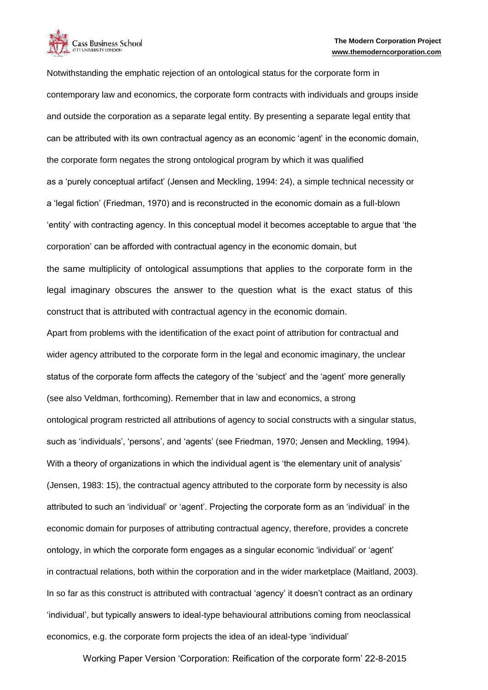

Notwithstanding the emphatic rejection of an ontological status for the corporate form in contemporary law and economics, the corporate form contracts with individuals and groups inside and outside the corporation as a separate legal entity. By presenting a separate legal entity that can be attributed with its own contractual agency as an economic 'agent' in the economic domain, the corporate form negates the strong ontological program by which it was qualified as a 'purely conceptual artifact' (Jensen and Meckling, 1994: 24), a simple technical necessity or a 'legal fiction' (Friedman, 1970) and is reconstructed in the economic domain as a full-blown 'entity' with contracting agency. In this conceptual model it becomes acceptable to argue that 'the corporation' can be afforded with contractual agency in the economic domain, but the same multiplicity of ontological assumptions that applies to the corporate form in the legal imaginary obscures the answer to the question what is the exact status of this construct that is attributed with contractual agency in the economic domain. Apart from problems with the identification of the exact point of attribution for contractual and wider agency attributed to the corporate form in the legal and economic imaginary, the unclear status of the corporate form affects the category of the 'subject' and the 'agent' more generally (see also Veldman, forthcoming). Remember that in law and economics, a strong ontological program restricted all attributions of agency to social constructs with a singular status, such as 'individuals', 'persons', and 'agents' (see Friedman, 1970; Jensen and Meckling, 1994). With a theory of organizations in which the individual agent is 'the elementary unit of analysis' (Jensen, 1983: 15), the contractual agency attributed to the corporate form by necessity is also attributed to such an 'individual' or 'agent'. Projecting the corporate form as an 'individual' in the economic domain for purposes of attributing contractual agency, therefore, provides a concrete ontology, in which the corporate form engages as a singular economic 'individual' or 'agent' in contractual relations, both within the corporation and in the wider marketplace (Maitland, 2003). In so far as this construct is attributed with contractual 'agency' it doesn't contract as an ordinary 'individual', but typically answers to ideal-type behavioural attributions coming from neoclassical economics, e.g. the corporate form projects the idea of an ideal-type 'individual'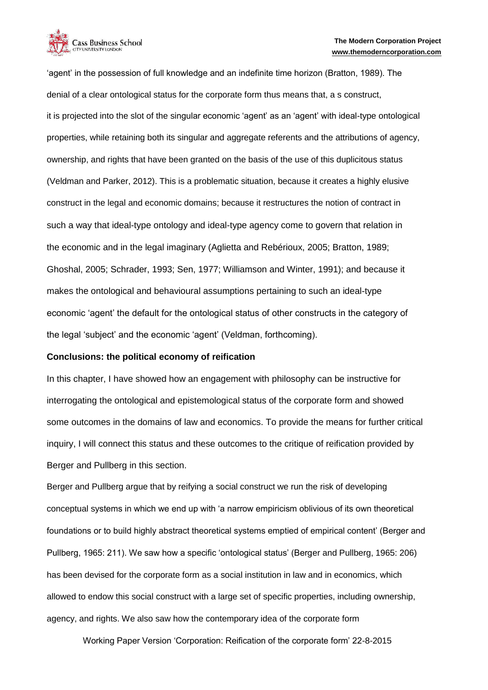

'agent' in the possession of full knowledge and an indefinite time horizon (Bratton, 1989). The denial of a clear ontological status for the corporate form thus means that, a s construct, it is projected into the slot of the singular economic 'agent' as an 'agent' with ideal-type ontological properties, while retaining both its singular and aggregate referents and the attributions of agency, ownership, and rights that have been granted on the basis of the use of this duplicitous status (Veldman and Parker, 2012). This is a problematic situation, because it creates a highly elusive construct in the legal and economic domains; because it restructures the notion of contract in such a way that ideal-type ontology and ideal-type agency come to govern that relation in the economic and in the legal imaginary (Aglietta and Rebérioux, 2005; Bratton, 1989; Ghoshal, 2005; Schrader, 1993; Sen, 1977; Williamson and Winter, 1991); and because it makes the ontological and behavioural assumptions pertaining to such an ideal-type economic 'agent' the default for the ontological status of other constructs in the category of the legal 'subject' and the economic 'agent' (Veldman, forthcoming).

#### **Conclusions: the political economy of reification**

In this chapter, I have showed how an engagement with philosophy can be instructive for interrogating the ontological and epistemological status of the corporate form and showed some outcomes in the domains of law and economics. To provide the means for further critical inquiry, I will connect this status and these outcomes to the critique of reification provided by Berger and Pullberg in this section.

Berger and Pullberg argue that by reifying a social construct we run the risk of developing conceptual systems in which we end up with 'a narrow empiricism oblivious of its own theoretical foundations or to build highly abstract theoretical systems emptied of empirical content' (Berger and Pullberg, 1965: 211). We saw how a specific 'ontological status' (Berger and Pullberg, 1965: 206) has been devised for the corporate form as a social institution in law and in economics, which allowed to endow this social construct with a large set of specific properties, including ownership, agency, and rights. We also saw how the contemporary idea of the corporate form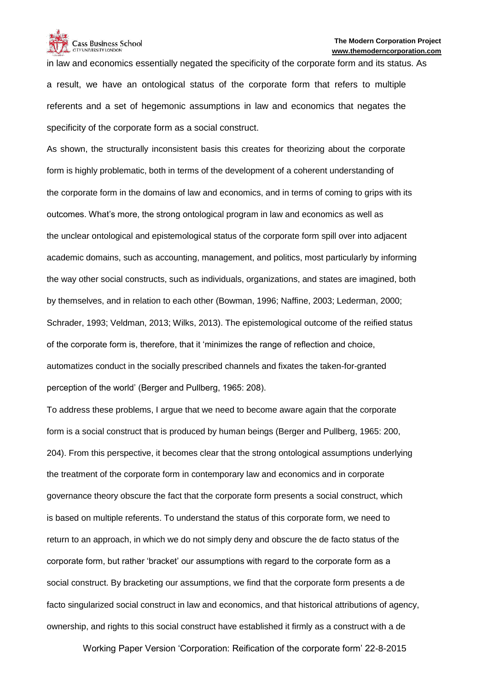## **Cass Business School UNIVERSITY LONDO**

in law and economics essentially negated the specificity of the corporate form and its status. As a result, we have an ontological status of the corporate form that refers to multiple referents and a set of hegemonic assumptions in law and economics that negates the specificity of the corporate form as a social construct.

As shown, the structurally inconsistent basis this creates for theorizing about the corporate form is highly problematic, both in terms of the development of a coherent understanding of the corporate form in the domains of law and economics, and in terms of coming to grips with its outcomes. What's more, the strong ontological program in law and economics as well as the unclear ontological and epistemological status of the corporate form spill over into adjacent academic domains, such as accounting, management, and politics, most particularly by informing the way other social constructs, such as individuals, organizations, and states are imagined, both by themselves, and in relation to each other (Bowman, 1996; Naffine, 2003; Lederman, 2000; Schrader, 1993; Veldman, 2013; Wilks, 2013). The epistemological outcome of the reified status of the corporate form is, therefore, that it 'minimizes the range of reflection and choice, automatizes conduct in the socially prescribed channels and fixates the taken-for-granted perception of the world' (Berger and Pullberg, 1965: 208).

To address these problems, I argue that we need to become aware again that the corporate form is a social construct that is produced by human beings (Berger and Pullberg, 1965: 200, 204). From this perspective, it becomes clear that the strong ontological assumptions underlying the treatment of the corporate form in contemporary law and economics and in corporate governance theory obscure the fact that the corporate form presents a social construct, which is based on multiple referents. To understand the status of this corporate form, we need to return to an approach, in which we do not simply deny and obscure the de facto status of the corporate form, but rather 'bracket' our assumptions with regard to the corporate form as a social construct. By bracketing our assumptions, we find that the corporate form presents a de facto singularized social construct in law and economics, and that historical attributions of agency, ownership, and rights to this social construct have established it firmly as a construct with a de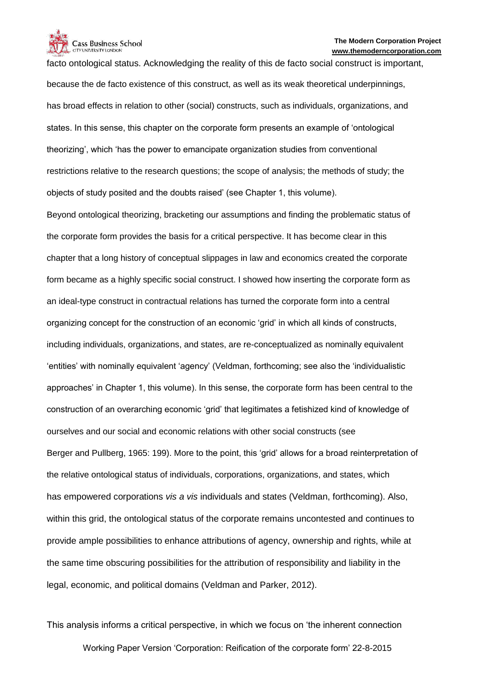

facto ontological status. Acknowledging the reality of this de facto social construct is important, because the de facto existence of this construct, as well as its weak theoretical underpinnings, has broad effects in relation to other (social) constructs, such as individuals, organizations, and states. In this sense, this chapter on the corporate form presents an example of 'ontological theorizing', which 'has the power to emancipate organization studies from conventional restrictions relative to the research questions; the scope of analysis; the methods of study; the objects of study posited and the doubts raised' (see Chapter 1, this volume).

Beyond ontological theorizing, bracketing our assumptions and finding the problematic status of the corporate form provides the basis for a critical perspective. It has become clear in this chapter that a long history of conceptual slippages in law and economics created the corporate form became as a highly specific social construct. I showed how inserting the corporate form as an ideal-type construct in contractual relations has turned the corporate form into a central organizing concept for the construction of an economic 'grid' in which all kinds of constructs, including individuals, organizations, and states, are re-conceptualized as nominally equivalent 'entities' with nominally equivalent 'agency' (Veldman, forthcoming; see also the 'individualistic approaches' in Chapter 1, this volume). In this sense, the corporate form has been central to the construction of an overarching economic 'grid' that legitimates a fetishized kind of knowledge of ourselves and our social and economic relations with other social constructs (see Berger and Pullberg, 1965: 199). More to the point, this 'grid' allows for a broad reinterpretation of the relative ontological status of individuals, corporations, organizations, and states, which has empowered corporations *vis a vis* individuals and states (Veldman, forthcoming). Also, within this grid, the ontological status of the corporate remains uncontested and continues to provide ample possibilities to enhance attributions of agency, ownership and rights, while at the same time obscuring possibilities for the attribution of responsibility and liability in the legal, economic, and political domains (Veldman and Parker, 2012).

This analysis informs a critical perspective, in which we focus on 'the inherent connection Working Paper Version 'Corporation: Reification of the corporate form' 22-8-2015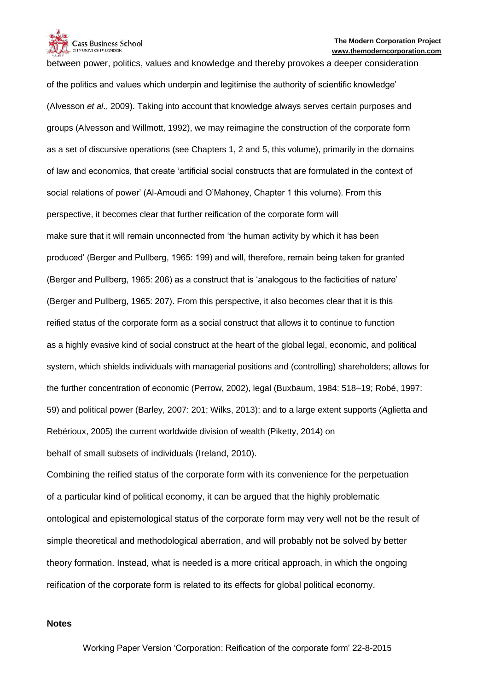

between power, politics, values and knowledge and thereby provokes a deeper consideration of the politics and values which underpin and legitimise the authority of scientific knowledge' (Alvesson *et al*., 2009). Taking into account that knowledge always serves certain purposes and groups (Alvesson and Willmott, 1992), we may reimagine the construction of the corporate form as a set of discursive operations (see Chapters 1, 2 and 5, this volume), primarily in the domains of law and economics, that create 'artificial social constructs that are formulated in the context of social relations of power' (Al-Amoudi and O'Mahoney, Chapter 1 this volume). From this perspective, it becomes clear that further reification of the corporate form will make sure that it will remain unconnected from 'the human activity by which it has been produced' (Berger and Pullberg, 1965: 199) and will, therefore, remain being taken for granted (Berger and Pullberg, 1965: 206) as a construct that is 'analogous to the facticities of nature' (Berger and Pullberg, 1965: 207). From this perspective, it also becomes clear that it is this reified status of the corporate form as a social construct that allows it to continue to function as a highly evasive kind of social construct at the heart of the global legal, economic, and political system, which shields individuals with managerial positions and (controlling) shareholders; allows for the further concentration of economic (Perrow, 2002), legal (Buxbaum, 1984: 518–19; Robé, 1997: 59) and political power (Barley, 2007: 201; Wilks, 2013); and to a large extent supports (Aglietta and Rebérioux, 2005) the current worldwide division of wealth (Piketty, 2014) on behalf of small subsets of individuals (Ireland, 2010).

Combining the reified status of the corporate form with its convenience for the perpetuation of a particular kind of political economy, it can be argued that the highly problematic ontological and epistemological status of the corporate form may very well not be the result of simple theoretical and methodological aberration, and will probably not be solved by better theory formation. Instead, what is needed is a more critical approach, in which the ongoing reification of the corporate form is related to its effects for global political economy.

#### **Notes**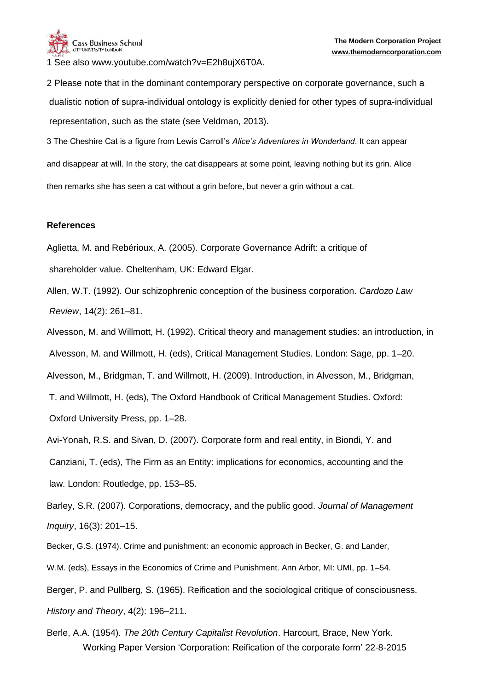

1 See also www.youtube.com/watch?v=E2h8ujX6T0A.

2 Please note that in the dominant contemporary perspective on corporate governance, such a dualistic notion of supra-individual ontology is explicitly denied for other types of supra-individual representation, such as the state (see Veldman, 2013).

3 The Cheshire Cat is a figure from Lewis Carroll's *Alice's Adventures in Wonderland*. It can appear and disappear at will. In the story, the cat disappears at some point, leaving nothing but its grin. Alice then remarks she has seen a cat without a grin before, but never a grin without a cat.

#### **References**

Aglietta, M. and Rebérioux, A. (2005). Corporate Governance Adrift: a critique of shareholder value. Cheltenham, UK: Edward Elgar.

Allen, W.T. (1992). Our schizophrenic conception of the business corporation. *Cardozo Law Review*, 14(2): 261–81.

Alvesson, M. and Willmott, H. (1992). Critical theory and management studies: an introduction, in Alvesson, M. and Willmott, H. (eds), Critical Management Studies. London: Sage, pp. 1–20.

Alvesson, M., Bridgman, T. and Willmott, H. (2009). Introduction, in Alvesson, M., Bridgman,

T. and Willmott, H. (eds), The Oxford Handbook of Critical Management Studies. Oxford:

Oxford University Press, pp. 1–28.

Avi-Yonah, R.S. and Sivan, D. (2007). Corporate form and real entity, in Biondi, Y. and Canziani, T. (eds), The Firm as an Entity: implications for economics, accounting and the law. London: Routledge, pp. 153–85.

Barley, S.R. (2007). Corporations, democracy, and the public good. *Journal of Management Inquiry*, 16(3): 201–15.

Becker, G.S. (1974). Crime and punishment: an economic approach in Becker, G. and Lander, W.M. (eds), Essays in the Economics of Crime and Punishment. Ann Arbor, MI: UMI, pp. 1–54. Berger, P. and Pullberg, S. (1965). Reification and the sociological critique of consciousness. *History and Theory*, 4(2): 196–211.

Berle, A.A. (1954). *The 20th Century Capitalist Revolution*. Harcourt, Brace, New York. Working Paper Version 'Corporation: Reification of the corporate form' 22-8-2015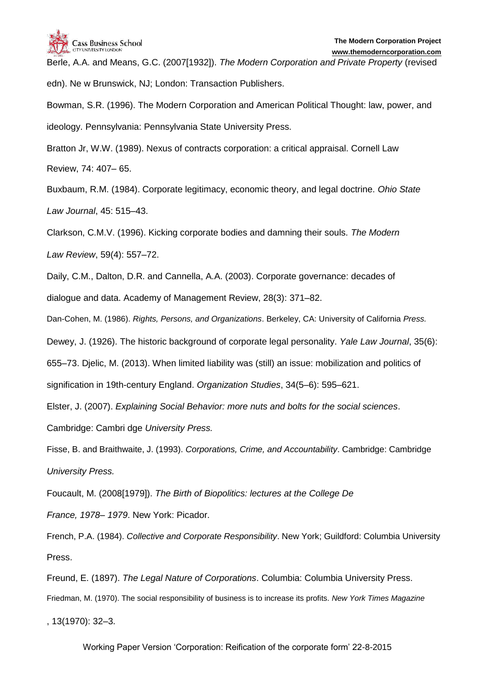

#### **The Modern Corporation Project**

**www.themoderncorporation.com** Berle, A.A. and Means, G.C. (2007[1932]). *The Modern Corporation and Private Property* (revised edn). Ne w Brunswick, NJ; London: Transaction Publishers.

Bowman, S.R. (1996). The Modern Corporation and American Political Thought: law, power, and ideology. Pennsylvania: Pennsylvania State University Press.

Bratton Jr, W.W. (1989). Nexus of contracts corporation: a critical appraisal. Cornell Law Review, 74: 407– 65.

Buxbaum, R.M. (1984). Corporate legitimacy, economic theory, and legal doctrine. *Ohio State Law Journal*, 45: 515–43.

Clarkson, C.M.V. (1996). Kicking corporate bodies and damning their souls. *The Modern Law Review*, 59(4): 557–72.

Daily, C.M., Dalton, D.R. and Cannella, A.A. (2003). Corporate governance: decades of dialogue and data. Academy of Management Review, 28(3): 371–82.

Dan-Cohen, M. (1986). *Rights, Persons, and Organizations*. Berkeley, CA: University of California *Press.*

Dewey, J. (1926). The historic background of corporate legal personality. *Yale Law Journal*, 35(6):

655–73. Djelic, M. (2013). When limited liability was (still) an issue: mobilization and politics of signification in 19th-century England. *Organization Studies*, 34(5–6): 595–621.

Elster, J. (2007). *Explaining Social Behavior: more nuts and bolts for the social sciences*.

Cambridge: Cambri dge *University Press.*

Fisse, B. and Braithwaite, J. (1993). *Corporations, Crime, and Accountability*. Cambridge: Cambridge *University Press.*

Foucault, M. (2008[1979]). *The Birth of Biopolitics: lectures at the College De* 

*France, 1978– 1979*. New York: Picador.

French, P.A. (1984). *Collective and Corporate Responsibility*. New York; Guildford: Columbia University Press.

Freund, E. (1897). *The Legal Nature of Corporations*. Columbia: Columbia University Press. Friedman, M. (1970). The social responsibility of business is to increase its profits. *New York Times Magazine* , 13(1970): 32–3.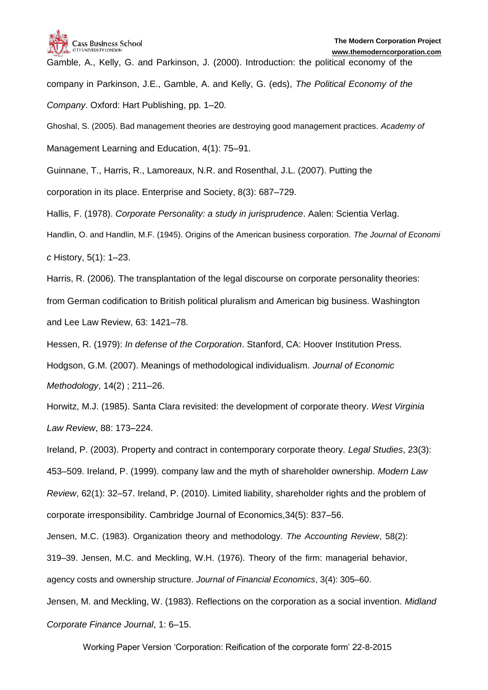

#### **The Modern Corporation Project**

**www.themoderncorporation.com**

Gamble, A., Kelly, G. and Parkinson, J. (2000). Introduction: the political economy of the company in Parkinson, J.E., Gamble, A. and Kelly, G. (eds), *The Political Economy of the Company*. Oxford: Hart Publishing, pp. 1–20. Ghoshal, S. (2005). Bad management theories are destroying good management practices. *Academy of* Management Learning and Education, 4(1): 75–91. Guinnane, T., Harris, R., Lamoreaux, N.R. and Rosenthal, J.L. (2007). Putting the corporation in its place. Enterprise and Society, 8(3): 687–729. Hallis, F. (1978). *Corporate Personality: a study in jurisprudence*. Aalen: Scientia Verlag. Handlin, O. and Handlin, M.F. (1945). Origins of the American business corporation. *The Journal of Economi c* History, 5(1): 1–23. Harris, R. (2006). The transplantation of the legal discourse on corporate personality theories: from German codification to British political pluralism and American big business. Washington and Lee Law Review, 63: 1421–78. Hessen, R. (1979): *In defense of the Corporation*. Stanford, CA: Hoover Institution Press. Hodgson, G.M. (2007). Meanings of methodological individualism. *Journal of Economic Methodology*, 14(2) ; 211–26. Horwitz, M.J. (1985). Santa Clara revisited: the development of corporate theory. *West Virginia Law Review*, 88: 173–224. Ireland, P. (2003). Property and contract in contemporary corporate theory. *Legal Studies*, 23(3): 453–509. Ireland, P. (1999). company law and the myth of shareholder ownership. *Modern Law Review*, 62(1): 32–57. Ireland, P. (2010). Limited liability, shareholder rights and the problem of corporate irresponsibility. Cambridge Journal of Economics,34(5): 837–56. Jensen, M.C. (1983). Organization theory and methodology. *The Accounting Review*, 58(2):

319–39. Jensen, M.C. and Meckling, W.H. (1976). Theory of the firm: managerial behavior,

agency costs and ownership structure. *Journal of Financial Economics*, 3(4): 305–60.

Jensen, M. and Meckling, W. (1983). Reflections on the corporation as a social invention. *Midland Corporate Finance Journal*, 1: 6–15.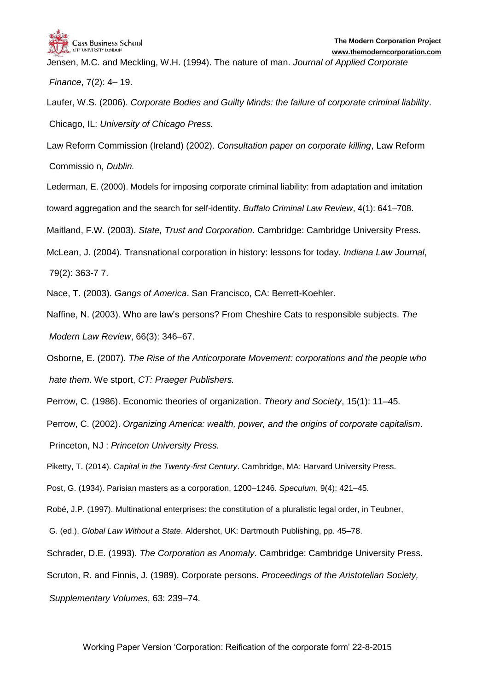

Jensen, M.C. and Meckling, W.H. (1994). The nature of man. *Journal of Applied Corporate Finance*, 7(2): 4– 19.

Laufer, W.S. (2006). *Corporate Bodies and Guilty Minds: the failure of corporate criminal liability*. Chicago, IL: *University of Chicago Press.*

Law Reform Commission (Ireland) (2002). *Consultation paper on corporate killing*, Law Reform Commissio n, *Dublin.*

Lederman, E. (2000). Models for imposing corporate criminal liability: from adaptation and imitation toward aggregation and the search for self-identity. *Buffalo Criminal Law Review*, 4(1): 641–708.

Maitland, F.W. (2003). *State, Trust and Corporation*. Cambridge: Cambridge University Press.

McLean, J. (2004). Transnational corporation in history: lessons for today. *Indiana Law Journal*, 79(2): 363-7 7.

Nace, T. (2003). *Gangs of America*. San Francisco, CA: Berrett-Koehler.

Naffine, N. (2003). Who are law's persons? From Cheshire Cats to responsible subjects. *The Modern Law Review*, 66(3): 346–67.

Osborne, E. (2007). *The Rise of the Anticorporate Movement: corporations and the people who hate them*. We stport, *CT: Praeger Publishers.*

Perrow, C. (1986). Economic theories of organization. *Theory and Society*, 15(1): 11–45.

Perrow, C. (2002). *Organizing America: wealth, power, and the origins of corporate capitalism*.

Princeton, NJ : *Princeton University Press.*

Piketty, T. (2014). *Capital in the Twenty-first Century*. Cambridge, MA: Harvard University Press.

Post, G. (1934). Parisian masters as a corporation, 1200–1246. *Speculum*, 9(4): 421–45.

Robé, J.P. (1997). Multinational enterprises: the constitution of a pluralistic legal order, in Teubner,

G. (ed.), *Global Law Without a State*. Aldershot, UK: Dartmouth Publishing, pp. 45–78.

Schrader, D.E. (1993). *The Corporation as Anomaly*. Cambridge: Cambridge University Press.

Scruton, R. and Finnis, J. (1989). Corporate persons. *Proceedings of the Aristotelian Society,* 

*Supplementary Volumes*, 63: 239–74.